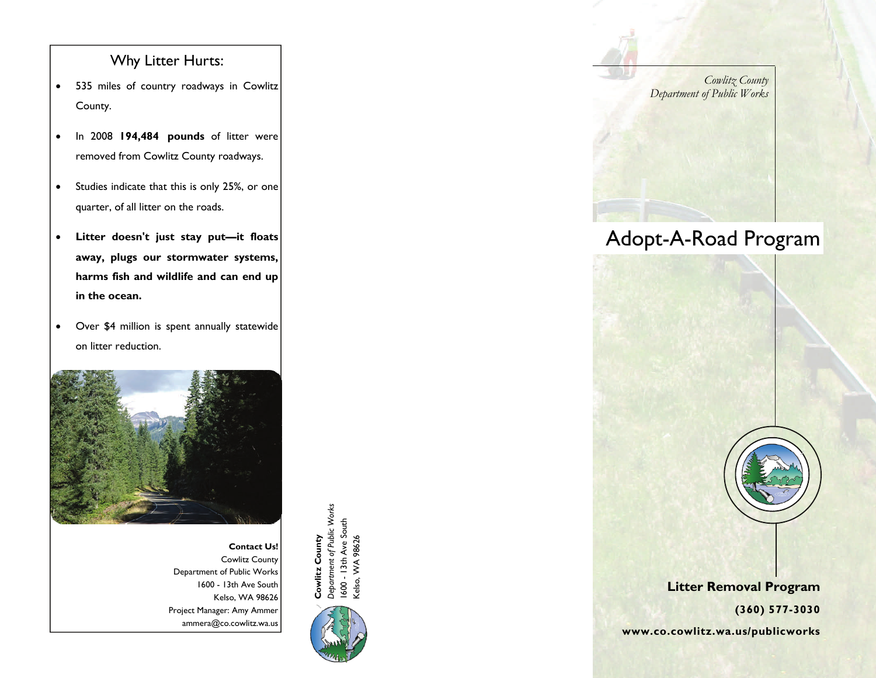### Why Litter Hurts:

- $\bullet$  535 miles of country roadways in Cowlitz County.
- $\bullet$  In 2008 **194,484 pounds** of litter were removed from Cowlitz County roadways.
- $\bullet$  Studies indicate that this is only 25%, or one quarter, of all litter on the roads.
- $\bullet$  **Litter doesn't just stay put—it floats away, plugs our stormwater systems, harms fish and wildlife and can end up in the ocean.**
- $\bullet$  Over \$4 million is spent annually statewide on litter reduction.



**Contact Us!** Cowlitz County Department of Public Works 1600 - 13th Ave South Kelso, WA 98626 Project Manager: Amy Ammer



*Cowlitz County Department of Public Works* 

# Adopt-A-Road Program



### **Litter Removal Program**

**(360) 577-3030** 

ammera@co.cowlitz.wa.us and the set of the set of the set of the set of the set of the set of the set of the set of the set of the set of the set of the set of the set of the set of the set of the set of the set of the set